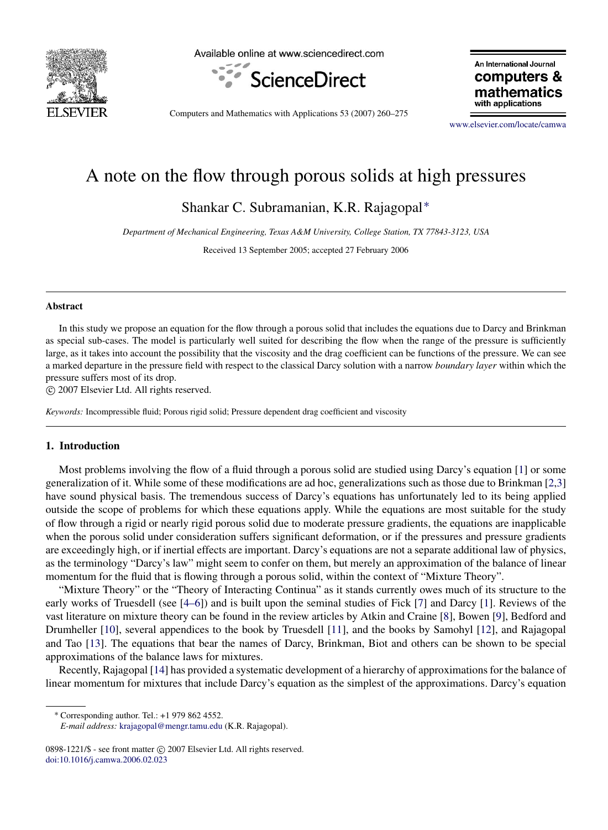

Available online at www.sciencedirect.com



An International Journal computers & mathematics with applications

Computers and Mathematics with Applications 53 (2007) 260–275

www.elsevier.com/locate/camwa

# A note on the flow through porous solids at high pressures

Shankar C. Subramanian, K.R. Rajagopal<sup>∗</sup>

*Department of Mechanical Engineering, Texas A&M University, College Station, TX 77843-3123, USA*

Received 13 September 2005; accepted 27 February 2006

#### Abstract

In this study we propose an equation for the flow through a porous solid that includes the equations due to Darcy and Brinkman as special sub-cases. The model is particularly well suited for describing the flow when the range of the pressure is sufficiently large, as it takes into account the possibility that the viscosity and the drag coefficient can be functions of the pressure. We can see a marked departure in the pressure field with respect to the classical Darcy solution with a narrow *boundary layer* within which the pressure suffers most of its drop.

c 2007 Elsevier Ltd. All rights reserved.

*Keywords:* Incompressible fluid; Porous rigid solid; Pressure dependent drag coefficient and viscosity

#### 1. Introduction

Most problems involving the flow of a fluid through a porous solid are studied using Darcy's equation [1] or some generalization of it. While some of these modifications are ad hoc, generalizations such as those due to Brinkman [2,3] have sound physical basis. The tremendous success of Darcy's equations has unfortunately led to its being applied outside the scope of problems for which these equations apply. While the equations are most suitable for the study of flow through a rigid or nearly rigid porous solid due to moderate pressure gradients, the equations are inapplicable when the porous solid under consideration suffers significant deformation, or if the pressures and pressure gradients are exceedingly high, or if inertial effects are important. Darcy's equations are not a separate additional law of physics, as the terminology "Darcy's law" might seem to confer on them, but merely an approximation of the balance of linear momentum for the fluid that is flowing through a porous solid, within the context of "Mixture Theory".

"Mixture Theory" or the "Theory of Interacting Continua" as it stands currently owes much of its structure to the early works of Truesdell (see [4–6]) and is built upon the seminal studies of Fick [7] and Darcy [1]. Reviews of the vast literature on mixture theory can be found in the review articles by Atkin and Craine [8], Bowen [9], Bedford and Drumheller [10], several appendices to the book by Truesdell [11], and the books by Samohyl [12], and Rajagopal and Tao [13]. The equations that bear the names of Darcy, Brinkman, Biot and others can be shown to be special approximations of the balance laws for mixtures.

Recently, Rajagopal [14] has provided a systematic development of a hierarchy of approximations for the balance of linear momentum for mixtures that include Darcy's equation as the simplest of the approximations. Darcy's equation

<sup>∗</sup> Corresponding author. Tel.: +1 979 862 4552.

*E-mail address:* krajagopal@mengr.tamu.edu (K.R. Rajagopal).

<sup>0898-1221/\$ -</sup> see front matter © 2007 Elsevier Ltd. All rights reserved. doi:10.1016/j.camwa.2006.02.023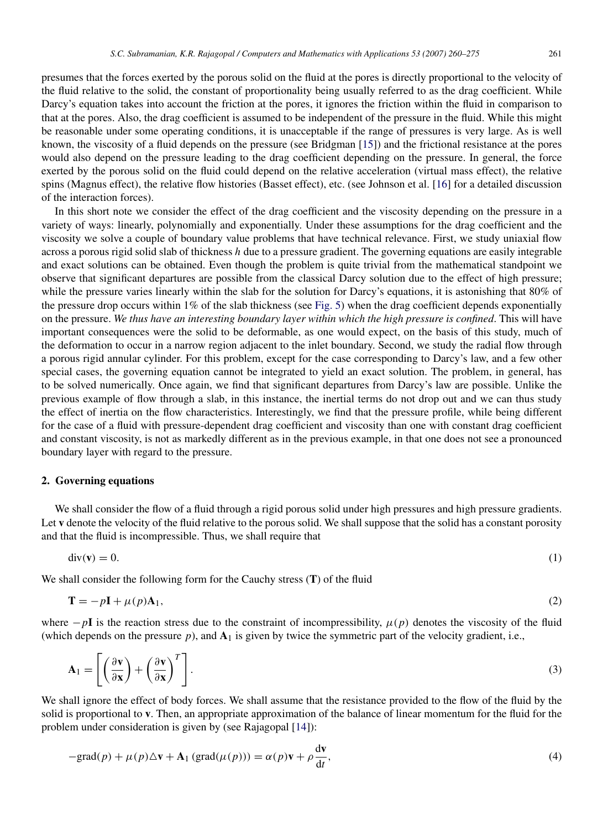presumes that the forces exerted by the porous solid on the fluid at the pores is directly proportional to the velocity of the fluid relative to the solid, the constant of proportionality being usually referred to as the drag coefficient. While Darcy's equation takes into account the friction at the pores, it ignores the friction within the fluid in comparison to that at the pores. Also, the drag coefficient is assumed to be independent of the pressure in the fluid. While this might be reasonable under some operating conditions, it is unacceptable if the range of pressures is very large. As is well known, the viscosity of a fluid depends on the pressure (see Bridgman [15]) and the frictional resistance at the pores would also depend on the pressure leading to the drag coefficient depending on the pressure. In general, the force exerted by the porous solid on the fluid could depend on the relative acceleration (virtual mass effect), the relative spins (Magnus effect), the relative flow histories (Basset effect), etc. (see Johnson et al. [16] for a detailed discussion of the interaction forces).

In this short note we consider the effect of the drag coefficient and the viscosity depending on the pressure in a variety of ways: linearly, polynomially and exponentially. Under these assumptions for the drag coefficient and the viscosity we solve a couple of boundary value problems that have technical relevance. First, we study uniaxial flow across a porous rigid solid slab of thickness *h* due to a pressure gradient. The governing equations are easily integrable and exact solutions can be obtained. Even though the problem is quite trivial from the mathematical standpoint we observe that significant departures are possible from the classical Darcy solution due to the effect of high pressure; while the pressure varies linearly within the slab for the solution for Darcy's equations, it is astonishing that 80% of the pressure drop occurs within 1% of the slab thickness (see Fig. 5) when the drag coefficient depends exponentially on the pressure. *We thus have an interesting boundary layer within which the high pressure is confined*. This will have important consequences were the solid to be deformable, as one would expect, on the basis of this study, much of the deformation to occur in a narrow region adjacent to the inlet boundary. Second, we study the radial flow through a porous rigid annular cylinder. For this problem, except for the case corresponding to Darcy's law, and a few other special cases, the governing equation cannot be integrated to yield an exact solution. The problem, in general, has to be solved numerically. Once again, we find that significant departures from Darcy's law are possible. Unlike the previous example of flow through a slab, in this instance, the inertial terms do not drop out and we can thus study the effect of inertia on the flow characteristics. Interestingly, we find that the pressure profile, while being different for the case of a fluid with pressure-dependent drag coefficient and viscosity than one with constant drag coefficient and constant viscosity, is not as markedly different as in the previous example, in that one does not see a pronounced boundary layer with regard to the pressure.

## 2. Governing equations

We shall consider the flow of a fluid through a rigid porous solid under high pressures and high pressure gradients. Let v denote the velocity of the fluid relative to the porous solid. We shall suppose that the solid has a constant porosity and that the fluid is incompressible. Thus, we shall require that

$$
\operatorname{div}(\mathbf{v}) = 0. \tag{1}
$$

We shall consider the following form for the Cauchy stress  $(T)$  of the fluid

$$
\mathbf{T} = -p\mathbf{I} + \mu(p)\mathbf{A}_1,\tag{2}
$$

where  $-pI$  is the reaction stress due to the constraint of incompressibility,  $\mu(p)$  denotes the viscosity of the fluid (which depends on the pressure  $p$ ), and  $A_1$  is given by twice the symmetric part of the velocity gradient, i.e.,

$$
\mathbf{A}_1 = \left[ \left( \frac{\partial \mathbf{v}}{\partial \mathbf{x}} \right) + \left( \frac{\partial \mathbf{v}}{\partial \mathbf{x}} \right)^T \right].
$$
 (3)

We shall ignore the effect of body forces. We shall assume that the resistance provided to the flow of the fluid by the solid is proportional to v. Then, an appropriate approximation of the balance of linear momentum for the fluid for the problem under consideration is given by (see Rajagopal [14]):

$$
-\text{grad}(p) + \mu(p)\Delta \mathbf{v} + \mathbf{A}_1 \left(\text{grad}(\mu(p))\right) = \alpha(p)\mathbf{v} + \rho \frac{\mathrm{d}\mathbf{v}}{\mathrm{d}t},\tag{4}
$$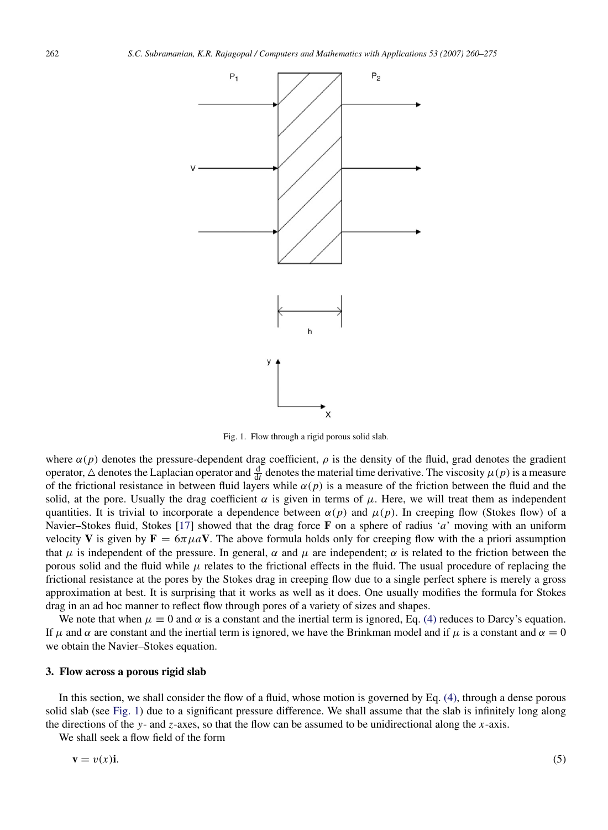

Fig. 1. Flow through a rigid porous solid slab.

where  $\alpha(p)$  denotes the pressure-dependent drag coefficient,  $\rho$  is the density of the fluid, grad denotes the gradient operator,  $\triangle$  denotes the Laplacian operator and  $\frac{d}{dt}$  denotes the material time derivative. The viscosity  $\mu(p)$  is a measure of the frictional resistance in between fluid layers while  $\alpha(p)$  is a measure of the friction between the fluid and the solid, at the pore. Usually the drag coefficient  $\alpha$  is given in terms of  $\mu$ . Here, we will treat them as independent quantities. It is trivial to incorporate a dependence between  $\alpha(p)$  and  $\mu(p)$ . In creeping flow (Stokes flow) of a Navier–Stokes fluid, Stokes [17] showed that the drag force F on a sphere of radius '*a*' moving with an uniform velocity V is given by  $\mathbf{F} = 6\pi \mu a \mathbf{V}$ . The above formula holds only for creeping flow with the a priori assumption that  $\mu$  is independent of the pressure. In general,  $\alpha$  and  $\mu$  are independent;  $\alpha$  is related to the friction between the porous solid and the fluid while  $\mu$  relates to the frictional effects in the fluid. The usual procedure of replacing the frictional resistance at the pores by the Stokes drag in creeping flow due to a single perfect sphere is merely a gross approximation at best. It is surprising that it works as well as it does. One usually modifies the formula for Stokes drag in an ad hoc manner to reflect flow through pores of a variety of sizes and shapes.

We note that when  $\mu \equiv 0$  and  $\alpha$  is a constant and the inertial term is ignored, Eq. (4) reduces to Darcy's equation. If  $\mu$  and  $\alpha$  are constant and the inertial term is ignored, we have the Brinkman model and if  $\mu$  is a constant and  $\alpha \equiv 0$ we obtain the Navier–Stokes equation.

## 3. Flow across a porous rigid slab

In this section, we shall consider the flow of a fluid, whose motion is governed by Eq. (4), through a dense porous solid slab (see Fig. 1) due to a significant pressure difference. We shall assume that the slab is infinitely long along the directions of the *y*- and *z*-axes, so that the flow can be assumed to be unidirectional along the *x*-axis.

We shall seek a flow field of the form

$$
\mathbf{v} = v(x)\mathbf{i}.\tag{5}
$$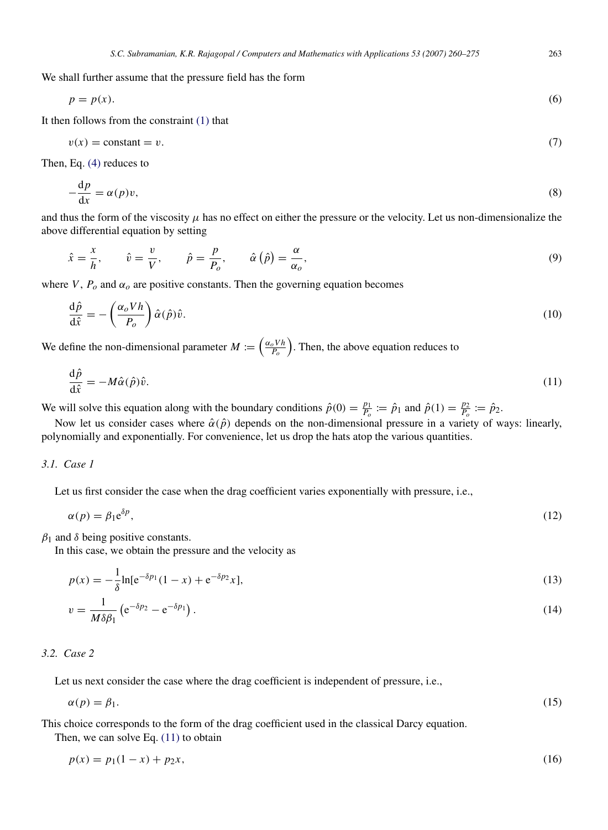We shall further assume that the pressure field has the form

$$
p = p(x). \tag{6}
$$

It then follows from the constraint (1) that

$$
v(x) = \text{constant} = v. \tag{7}
$$

Then, Eq. (4) reduces to

$$
-\frac{\mathrm{d}p}{\mathrm{d}x} = \alpha(p)v,\tag{8}
$$

and thus the form of the viscosity  $\mu$  has no effect on either the pressure or the velocity. Let us non-dimensionalize the above differential equation by setting

$$
\hat{x} = \frac{x}{h}, \qquad \hat{v} = \frac{v}{V}, \qquad \hat{p} = \frac{p}{P_o}, \qquad \hat{\alpha}(\hat{p}) = \frac{\alpha}{\alpha_o}, \tag{9}
$$

where *V*,  $P_o$  and  $\alpha_o$  are positive constants. Then the governing equation becomes

$$
\frac{\mathrm{d}\hat{p}}{\mathrm{d}\hat{x}} = -\left(\frac{\alpha_o V h}{P_o}\right)\hat{\alpha}(\hat{p})\hat{v}.\tag{10}
$$

We define the non-dimensional parameter  $M := \left(\frac{\alpha_o V h}{P_o}\right)$ . Then, the above equation reduces to

$$
\frac{\mathrm{d}\hat{p}}{\mathrm{d}\hat{x}} = -M\hat{\alpha}(\hat{p})\hat{v}.\tag{11}
$$

We will solve this equation along with the boundary conditions  $\hat{p}(0) = \frac{p_1}{p_1}$  $\frac{p_1}{P_o} := \hat{p}_1$  and  $\hat{p}(1) = \frac{p_2}{P_o}$  $\frac{p_2}{P_o} := \hat{p}_2.$ 

Now let us consider cases where  $\hat{\alpha}(\hat{p})$  depends on the non-dimensional pressure in a variety of ways: linearly, polynomially and exponentially. For convenience, let us drop the hats atop the various quantities.

#### *3.1. Case 1*

Let us first consider the case when the drag coefficient varies exponentially with pressure, i.e.,

$$
\alpha(p) = \beta_1 e^{\delta p},\tag{12}
$$

 $\beta_1$  and  $\delta$  being positive constants.

In this case, we obtain the pressure and the velocity as

$$
p(x) = -\frac{1}{\delta} \ln[e^{-\delta p_1}(1-x) + e^{-\delta p_2}x],
$$
\n(13)

$$
v = \frac{1}{M\delta\beta_1} \left( e^{-\delta p_2} - e^{-\delta p_1} \right). \tag{14}
$$

# *3.2. Case 2*

Let us next consider the case where the drag coefficient is independent of pressure, i.e.,

$$
\alpha(p) = \beta_1. \tag{15}
$$

This choice corresponds to the form of the drag coefficient used in the classical Darcy equation.

Then, we can solve Eq. (11) to obtain

$$
p(x) = p_1(1-x) + p_2x,\tag{16}
$$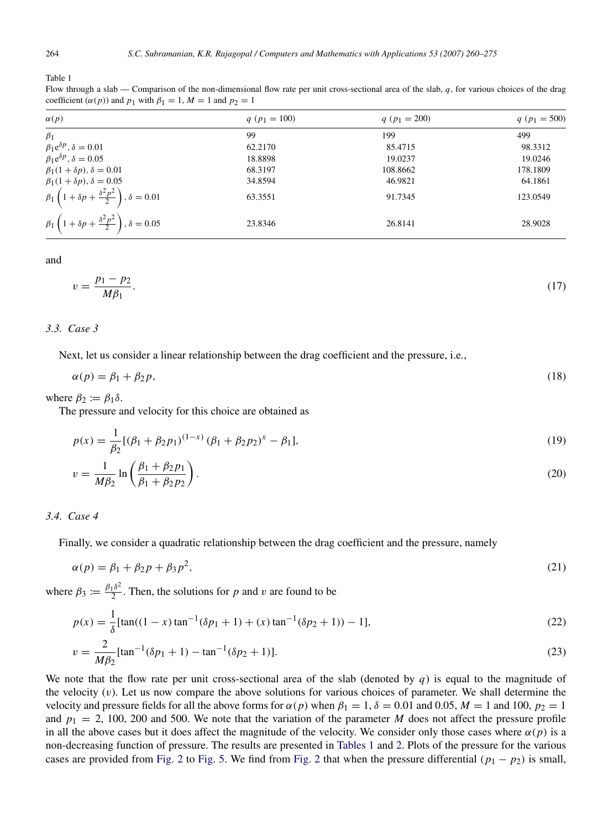Flow through a slab — Comparison of the non-dimensional flow rate per unit cross-sectional area of the slab, *q*, for various choices of the drag coefficient ( $\alpha(p)$ ) and  $p_1$  with  $\beta_1 = 1$ ,  $M = 1$  and  $p_2 = 1$ 

| $\alpha(p)$                                                            | $q (p_1 = 100)$ | $q(p_1 = 200)$ | $q(p_1 = 500)$ |
|------------------------------------------------------------------------|-----------------|----------------|----------------|
| $\beta_1$                                                              | 99              | 199            | 499            |
| $\beta_1 e^{\delta p}, \delta = 0.01$                                  | 62.2170         | 85.4715        | 98.3312        |
| $\beta_1 e^{\delta p}$ , $\delta = 0.05$                               | 18.8898         | 19.0237        | 19.0246        |
| $\beta_1(1+\delta p), \delta = 0.01$                                   | 68.3197         | 108.8662       | 178.1809       |
| $\beta_1(1+\delta p), \delta = 0.05$                                   | 34.8594         | 46.9821        | 64.1861        |
| $\beta_1\left(1+\delta p+\frac{\delta^2 p^2}{2}\right), \delta=0.01$   | 63.3551         | 91.7345        | 123.0549       |
| $\beta_1\left(1+\delta p+\frac{\delta^2 p^2}{2}\right), \delta = 0.05$ | 23.8346         | 26.8141        | 28.9028        |

and

$$
v = \frac{p_1 - p_2}{M\beta_1}.\tag{17}
$$

### *3.3. Case 3*

Next, let us consider a linear relationship between the drag coefficient and the pressure, i.e.,

 $\alpha(p) = \beta_1 + \beta_2 p,$ (18)

where  $\beta_2 := \beta_1 \delta$ .

The pressure and velocity for this choice are obtained as

$$
p(x) = \frac{1}{\beta_2} [(\beta_1 + \beta_2 p_1)^{(1-x)} (\beta_1 + \beta_2 p_2)^x - \beta_1],
$$
\n(19)

$$
v = \frac{1}{M\beta_2} \ln \left( \frac{\beta_1 + \beta_2 p_1}{\beta_1 + \beta_2 p_2} \right).
$$
 (20)

#### *3.4. Case 4*

Finally, we consider a quadratic relationship between the drag coefficient and the pressure, namely

$$
\alpha(p) = \beta_1 + \beta_2 p + \beta_3 p^2,\tag{21}
$$

where  $\beta_3 := \frac{\beta_1 \delta^2}{2}$  $\frac{10^{6}}{2}$ . Then, the solutions for *p* and *v* are found to be

$$
p(x) = \frac{1}{\delta} [\tan((1-x)\tan^{-1}(\delta p_1 + 1) + (x)\tan^{-1}(\delta p_2 + 1)) - 1],
$$
\n(22)

$$
v = \frac{2}{M\beta_2} [\tan^{-1}(\delta p_1 + 1) - \tan^{-1}(\delta p_2 + 1)].
$$
\n(23)

We note that the flow rate per unit cross-sectional area of the slab (denoted by *q*) is equal to the magnitude of the velocity  $(v)$ . Let us now compare the above solutions for various choices of parameter. We shall determine the velocity and pressure fields for all the above forms for  $\alpha(p)$  when  $\beta_1 = 1$ ,  $\delta = 0.01$  and 0.05,  $M = 1$  and 100,  $p_2 = 1$ and  $p_1 = 2$ , 100, 200 and 500. We note that the variation of the parameter *M* does not affect the pressure profile in all the above cases but it does affect the magnitude of the velocity. We consider only those cases where  $\alpha(p)$  is a non-decreasing function of pressure. The results are presented in Tables 1 and 2. Plots of the pressure for the various cases are provided from Fig. 2 to Fig. 5. We find from Fig. 2 that when the pressure differential  $(p_1 - p_2)$  is small,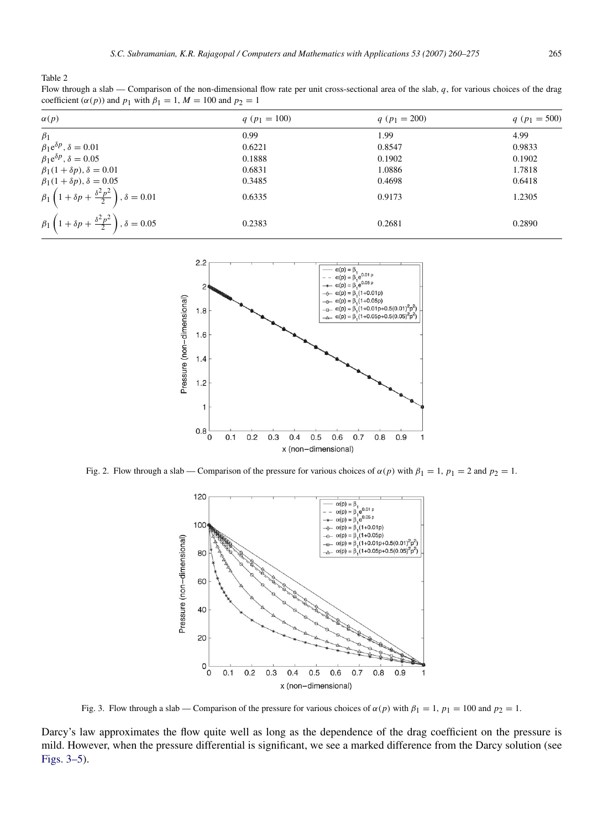Flow through a slab — Comparison of the non-dimensional flow rate per unit cross-sectional area of the slab,  $q$ , for various choices of the drag coefficient  $(\alpha(p))$  and  $p_1$  with  $\beta_1 = 1$ ,  $M = 100$  and  $p_2 = 1$ 

| $\alpha(p)$                                                            | $q (p_1 = 100)$ | $q (p_1 = 200)$ | $q (p_1 = 500)$ |
|------------------------------------------------------------------------|-----------------|-----------------|-----------------|
| $\beta_1$                                                              | 0.99            | 1.99            | 4.99            |
| $\beta_1 e^{\delta p}$ , $\delta = 0.01$                               | 0.6221          | 0.8547          | 0.9833          |
| $\beta_1 e^{\delta p}$ , $\delta = 0.05$                               | 0.1888          | 0.1902          | 0.1902          |
| $\beta_1(1+\delta p), \delta = 0.01$                                   | 0.6831          | 1.0886          | 1.7818          |
| $\beta_1(1+\delta p), \delta = 0.05$                                   | 0.3485          | 0.4698          | 0.6418          |
| $\beta_1\left(1+\delta p+\frac{\delta^2 p^2}{2}\right), \delta=0.01$   | 0.6335          | 0.9173          | 1.2305          |
| $\beta_1\left(1+\delta p+\frac{\delta^2 p^2}{2}\right), \delta = 0.05$ | 0.2383          | 0.2681          | 0.2890          |



Fig. 2. Flow through a slab — Comparison of the pressure for various choices of  $\alpha(p)$  with  $\beta_1 = 1$ ,  $p_1 = 2$  and  $p_2 = 1$ .



Fig. 3. Flow through a slab — Comparison of the pressure for various choices of  $\alpha(p)$  with  $\beta_1 = 1$ ,  $p_1 = 100$  and  $p_2 = 1$ .

Darcy's law approximates the flow quite well as long as the dependence of the drag coefficient on the pressure is mild. However, when the pressure differential is significant, we see a marked difference from the Darcy solution (see Figs. 3–5).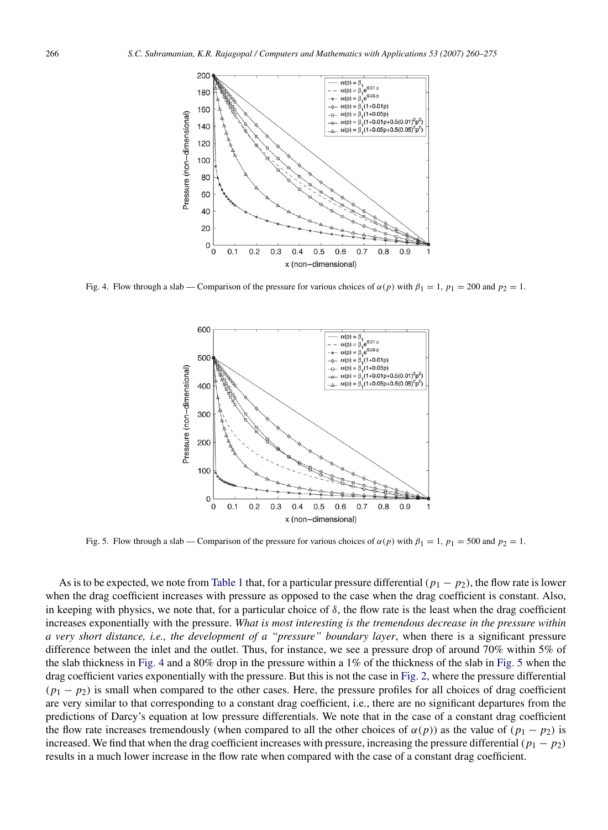

Fig. 4. Flow through a slab — Comparison of the pressure for various choices of  $\alpha(p)$  with  $\beta_1 = 1$ ,  $p_1 = 200$  and  $p_2 = 1$ .



Fig. 5. Flow through a slab — Comparison of the pressure for various choices of  $\alpha(p)$  with  $\beta_1 = 1$ ,  $p_1 = 500$  and  $p_2 = 1$ .

As is to be expected, we note from Table 1 that, for a particular pressure differential  $(p_1 - p_2)$ , the flow rate is lower when the drag coefficient increases with pressure as opposed to the case when the drag coefficient is constant. Also, in keeping with physics, we note that, for a particular choice of  $\delta$ , the flow rate is the least when the drag coefficient increases exponentially with the pressure. *What is most interesting is the tremendous decrease in the pressure within a very short distance, i.e., the development of a "pressure" boundary layer*, when there is a significant pressure difference between the inlet and the outlet. Thus, for instance, we see a pressure drop of around 70% within 5% of the slab thickness in Fig. 4 and a 80% drop in the pressure within a 1% of the thickness of the slab in Fig. 5 when the drag coefficient varies exponentially with the pressure. But this is not the case in Fig. 2, where the pressure differential  $(p_1 - p_2)$  is small when compared to the other cases. Here, the pressure profiles for all choices of drag coefficient are very similar to that corresponding to a constant drag coefficient, i.e., there are no significant departures from the predictions of Darcy's equation at low pressure differentials. We note that in the case of a constant drag coefficient the flow rate increases tremendously (when compared to all the other choices of  $\alpha(p)$ ) as the value of  $(p_1 - p_2)$  is increased. We find that when the drag coefficient increases with pressure, increasing the pressure differential  $(p_1 - p_2)$ results in a much lower increase in the flow rate when compared with the case of a constant drag coefficient.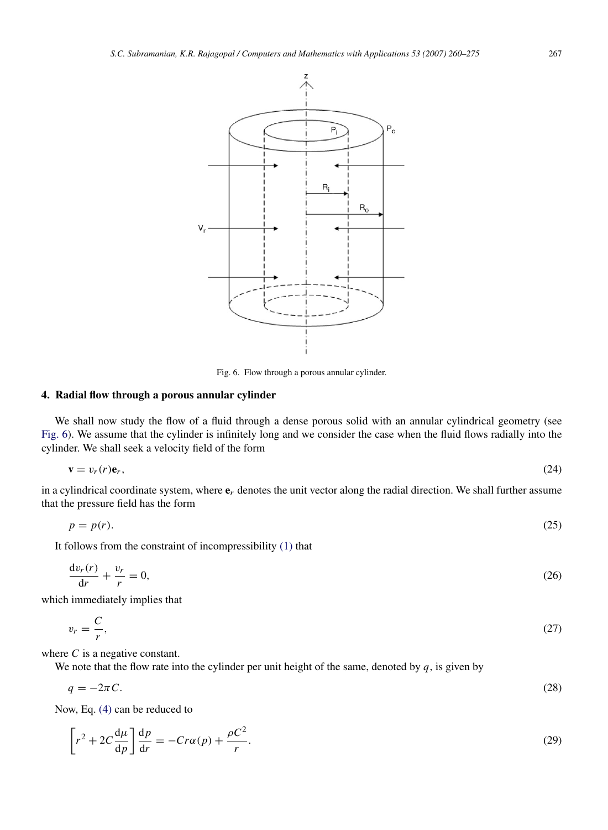

Fig. 6. Flow through a porous annular cylinder.

## 4. Radial flow through a porous annular cylinder

We shall now study the flow of a fluid through a dense porous solid with an annular cylindrical geometry (see Fig. 6). We assume that the cylinder is infinitely long and we consider the case when the fluid flows radially into the cylinder. We shall seek a velocity field of the form

$$
\mathbf{v} = v_r(r)\mathbf{e}_r,\tag{24}
$$

in a cylindrical coordinate system, where  $e_r$  denotes the unit vector along the radial direction. We shall further assume that the pressure field has the form

$$
p = p(r). \tag{25}
$$

It follows from the constraint of incompressibility (1) that

$$
\frac{\mathrm{d}v_r(r)}{\mathrm{d}r} + \frac{v_r}{r} = 0,\tag{26}
$$

which immediately implies that

$$
v_r = \frac{C}{r},\tag{27}
$$

where *C* is a negative constant.

We note that the flow rate into the cylinder per unit height of the same, denoted by  $q$ , is given by

$$
q = -2\pi C.\tag{28}
$$

Now, Eq. (4) can be reduced to

$$
\left[r^2 + 2C\frac{d\mu}{dp}\right]\frac{dp}{dr} = -Cr\alpha(p) + \frac{\rho C^2}{r}.
$$
\n(29)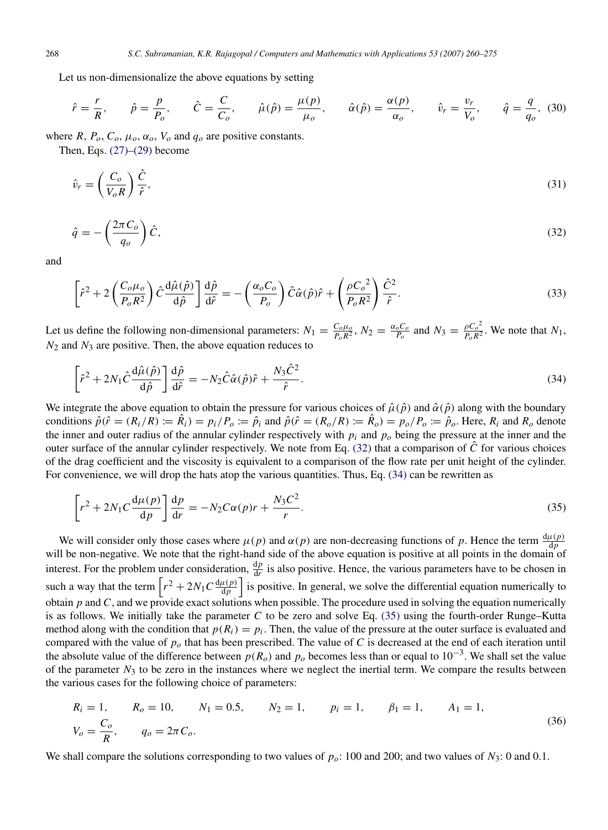Let us non-dimensionalize the above equations by setting

$$
\hat{r} = \frac{r}{R}, \qquad \hat{p} = \frac{p}{P_o}, \qquad \hat{C} = \frac{C}{C_o}, \qquad \hat{\mu}(\hat{p}) = \frac{\mu(p)}{\mu_o}, \qquad \hat{\alpha}(\hat{p}) = \frac{\alpha(p)}{\alpha_o}, \qquad \hat{v}_r = \frac{v_r}{V_o}, \qquad \hat{q} = \frac{q}{q_o}, \tag{30}
$$

where *R*,  $P_o$ ,  $C_o$ ,  $\mu_o$ ,  $\alpha_o$ ,  $V_o$  and  $q_o$  are positive constants. Then, Eqs.  $(27)$ – $(29)$  become

$$
\hat{v}_r = \left(\frac{C_o}{V_o R}\right) \frac{\hat{C}}{\hat{r}},\tag{31}
$$

$$
\hat{q} = -\left(\frac{2\pi C_o}{q_o}\right)\hat{C},\tag{32}
$$

and

$$
\left[\hat{r}^2 + 2\left(\frac{C_o\mu_o}{P_oR^2}\right)\hat{C}\frac{\mathrm{d}\hat{\mu}(\hat{p})}{\mathrm{d}\hat{p}}\right]\frac{\mathrm{d}\hat{p}}{\mathrm{d}\hat{r}} = -\left(\frac{\alpha_o C_o}{P_o}\right)\hat{C}\hat{\alpha}(\hat{p})\hat{r} + \left(\frac{\rho C_o^2}{P_oR^2}\right)\frac{\hat{C}^2}{\hat{r}}.\tag{33}
$$

Let us define the following non-dimensional parameters:  $N_1 = \frac{C_0 \mu_0}{P_R R^2}$  $\frac{C_o \mu_o}{P_o R^2}$ ,  $N_2 = \frac{\alpha_o C_o}{P_o}$  and  $N_3 = \frac{\rho C_o^2}{P_o R^2}$  $\frac{\rho C_o}{P_o R^2}$ . We note that  $N_1$ , *N*<sup>2</sup> and *N*<sup>3</sup> are positive. Then, the above equation reduces to

$$
\left[\hat{r}^2 + 2N_1\hat{C}\frac{\mathrm{d}\hat{\mu}(\hat{p})}{\mathrm{d}\hat{p}}\right]\frac{\mathrm{d}\hat{p}}{\mathrm{d}\hat{r}} = -N_2\hat{C}\hat{\alpha}(\hat{p})\hat{r} + \frac{N_3\hat{C}^2}{\hat{r}}.\tag{34}
$$

We integrate the above equation to obtain the pressure for various choices of  $\hat{\mu}(\hat{p})$  and  $\hat{\alpha}(\hat{p})$  along with the boundary conditions  $\hat{p}(\hat{r} = (R_i/R) := \hat{R}_i) = p_i/P_o := \hat{p}_i$  and  $\hat{p}(\hat{r} = (R_o/R) := \hat{R}_o) = p_o/P_o := \hat{p}_o$ . Here,  $R_i$  and  $R_o$  denote the inner and outer radius of the annular cylinder respectively with  $p_i$  and  $p_o$  being the pressure at the inner and the outer surface of the annular cylinder respectively. We note from Eq. (32) that a comparison of *C* for various choices of the drag coefficient and the viscosity is equivalent to a comparison of the flow rate per unit height of the cylinder. For convenience, we will drop the hats atop the various quantities. Thus, Eq. (34) can be rewritten as

$$
\left[r^2 + 2N_1C\frac{\mathrm{d}\mu(p)}{\mathrm{d}p}\right]\frac{\mathrm{d}p}{\mathrm{d}r} = -N_2C\alpha(p)r + \frac{N_3C^2}{r}.\tag{35}
$$

We will consider only those cases where  $\mu(p)$  and  $\alpha(p)$  are non-decreasing functions of p. Hence the term  $\frac{d\mu(p)}{dp}$ will be non-negative. We note that the right-hand side of the above equation is positive at all points in the domain of interest. For the problem under consideration,  $\frac{dp}{dr}$  is also positive. Hence, the various parameters have to be chosen in such a way that the term  $\left[ r^2 + 2N_1C \frac{d\mu(p)}{dp} \right]$  $\frac{u(p)}{dp}$  is positive. In general, we solve the differential equation numerically to obtain *p* and *C*, and we provide exact solutions when possible. The procedure used in solving the equation numerically is as follows. We initially take the parameter *C* to be zero and solve Eq. (35) using the fourth-order Runge–Kutta method along with the condition that  $p(R_i) = p_i$ . Then, the value of the pressure at the outer surface is evaluated and compared with the value of *p<sup>o</sup>* that has been prescribed. The value of *C* is decreased at the end of each iteration until the absolute value of the difference between  $p(R_o)$  and  $p_o$  becomes less than or equal to  $10^{-3}$ . We shall set the value of the parameter  $N_3$  to be zero in the instances where we neglect the inertial term. We compare the results between the various cases for the following choice of parameters:

$$
R_i = 1, \t R_o = 10, \t N_1 = 0.5, \t N_2 = 1, \t p_i = 1, \t \beta_1 = 1, \t A_1 = 1,
$$
  
\n
$$
V_o = \frac{C_o}{R}, \t q_o = 2\pi C_o.
$$
\n(36)

We shall compare the solutions corresponding to two values of  $p_o$ : 100 and 200; and two values of  $N_3$ : 0 and 0.1.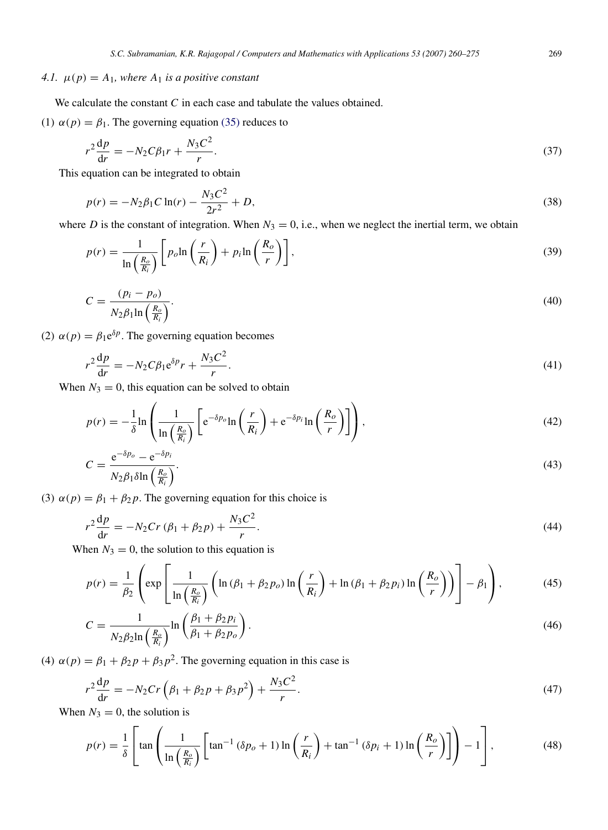# *4.1.*  $\mu(p) = A_1$ *, where*  $A_1$  *is a positive constant*

We calculate the constant *C* in each case and tabulate the values obtained.

(1)  $\alpha(p) = \beta_1$ . The governing equation (35) reduces to

$$
r^{2} \frac{dp}{dr} = -N_{2}C\beta_{1}r + \frac{N_{3}C^{2}}{r}.
$$
\n(37)

This equation can be integrated to obtain

$$
p(r) = -N_2 \beta_1 C \ln(r) - \frac{N_3 C^2}{2r^2} + D,\tag{38}
$$

where *D* is the constant of integration. When  $N_3 = 0$ , i.e., when we neglect the inertial term, we obtain

$$
p(r) = \frac{1}{\ln\left(\frac{R_o}{R_i}\right)} \left[ p_o \ln\left(\frac{r}{R_i}\right) + p_i \ln\left(\frac{R_o}{r}\right) \right],\tag{39}
$$

$$
C = \frac{(p_i - p_o)}{N_2 \beta_1 \ln\left(\frac{R_o}{R_i}\right)}.\tag{40}
$$

(2)  $\alpha(p) = \beta_1 e^{\delta p}$ . The governing equation becomes

$$
r^2 \frac{\mathrm{d}p}{\mathrm{d}r} = -N_2 C \beta_1 \mathrm{e}^{\delta p} r + \frac{N_3 C^2}{r}.
$$
\n
$$
\tag{41}
$$

When  $N_3 = 0$ , this equation can be solved to obtain

$$
p(r) = -\frac{1}{\delta} \ln \left( \frac{1}{\ln \left( \frac{R_o}{R_i} \right)} \left[ e^{-\delta p_o} \ln \left( \frac{r}{R_i} \right) + e^{-\delta p_i} \ln \left( \frac{R_o}{r} \right) \right] \right),\tag{42}
$$

$$
C = \frac{e^{-\delta p_o} - e^{-\delta p_i}}{N_2 \beta_1 \delta \ln \left(\frac{R_o}{R_i}\right)}.
$$
\n(43)

(3)  $\alpha(p) = \beta_1 + \beta_2 p$ . The governing equation for this choice is

$$
r^{2} \frac{dp}{dr} = -N_{2}Cr\left(\beta_{1} + \beta_{2}p\right) + \frac{N_{3}C^{2}}{r}.
$$
\n(44)

When  $N_3 = 0$ , the solution to this equation is

$$
p(r) = \frac{1}{\beta_2} \left( \exp \left[ \frac{1}{\ln \left( \frac{R_o}{R_i} \right)} \left( \ln \left( \beta_1 + \beta_2 p_o \right) \ln \left( \frac{r}{R_i} \right) + \ln \left( \beta_1 + \beta_2 p_i \right) \ln \left( \frac{R_o}{r} \right) \right) \right] - \beta_1 \right),\tag{45}
$$

$$
C = \frac{1}{N_2 \beta_2 \ln\left(\frac{R_o}{R_i}\right)} \ln\left(\frac{\beta_1 + \beta_2 p_i}{\beta_1 + \beta_2 p_o}\right). \tag{46}
$$

(4)  $\alpha(p) = \beta_1 + \beta_2 p + \beta_3 p^2$ . The governing equation in this case is

$$
r^{2} \frac{dp}{dr} = -N_{2}Cr\left(\beta_{1} + \beta_{2}p + \beta_{3}p^{2}\right) + \frac{N_{3}C^{2}}{r}.
$$
\n(47)

When  $N_3 = 0$ , the solution is

 $\overline{1}$ 

$$
p(r) = \frac{1}{\delta} \left[ \tan \left( \frac{1}{\ln \left( \frac{R_o}{R_i} \right)} \left[ \tan^{-1} \left( \delta p_o + 1 \right) \ln \left( \frac{r}{R_i} \right) + \tan^{-1} \left( \delta p_i + 1 \right) \ln \left( \frac{R_o}{r} \right) \right] \right) - 1 \right],\tag{48}
$$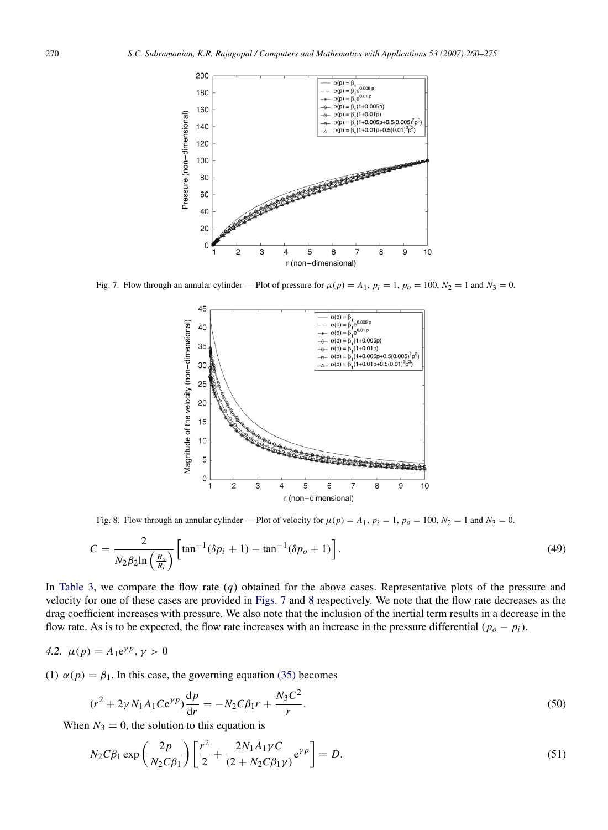

Fig. 7. Flow through an annular cylinder — Plot of pressure for  $\mu(p) = A_1$ ,  $p_i = 1$ ,  $p_o = 100$ ,  $N_2 = 1$  and  $N_3 = 0$ .



Fig. 8. Flow through an annular cylinder — Plot of velocity for  $\mu(p) = A_1$ ,  $p_i = 1$ ,  $p_o = 100$ ,  $N_2 = 1$  and  $N_3 = 0$ .

$$
C = \frac{2}{N_2 \beta_2 \ln\left(\frac{R_o}{R_i}\right)} \left[ \tan^{-1}(\delta p_i + 1) - \tan^{-1}(\delta p_o + 1) \right].
$$
 (49)

In Table 3, we compare the flow rate (*q*) obtained for the above cases. Representative plots of the pressure and velocity for one of these cases are provided in Figs. 7 and 8 respectively. We note that the flow rate decreases as the drag coefficient increases with pressure. We also note that the inclusion of the inertial term results in a decrease in the flow rate. As is to be expected, the flow rate increases with an increase in the pressure differential  $(p_o - p_i)$ .

4.2. 
$$
\mu(p) = A_1 e^{\gamma p}, \gamma > 0
$$

(1)  $\alpha(p) = \beta_1$ . In this case, the governing equation (35) becomes

$$
(r^{2} + 2\gamma N_{1}A_{1}Ce^{\gamma p})\frac{dp}{dr} = -N_{2}C\beta_{1}r + \frac{N_{3}C^{2}}{r}.
$$
\n(50)

When  $N_3 = 0$ , the solution to this equation is

$$
N_2 C \beta_1 \exp\left(\frac{2p}{N_2 C \beta_1}\right) \left[\frac{r^2}{2} + \frac{2N_1 A_1 \gamma C}{(2 + N_2 C \beta_1 \gamma)} e^{\gamma p}\right] = D. \tag{51}
$$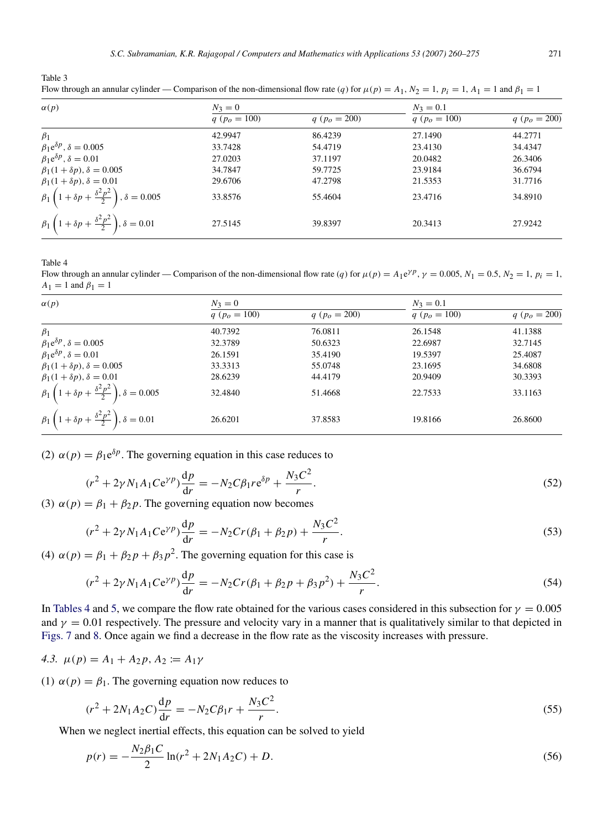Table 3 Flow through an annular cylinder — Comparison of the non-dimensional flow rate (*q*) for  $\mu(p) = A_1$ ,  $N_2 = 1$ ,  $p_i = 1$ ,  $A_1 = 1$  and  $\beta_1 = 1$ 

| $\alpha(p)$                                                            | $N_3 = 0$      |                | $N_3 = 0.1$    |                |
|------------------------------------------------------------------------|----------------|----------------|----------------|----------------|
|                                                                        | $q(p_0 = 100)$ | $q(p_0 = 200)$ | $q(p_0 = 100)$ | $q(p_0 = 200)$ |
| $\beta_1$                                                              | 42.9947        | 86.4239        | 27.1490        | 44.2771        |
| $\beta_1 e^{\delta p}$ , $\delta = 0.005$                              | 33.7428        | 54.4719        | 23.4130        | 34.4347        |
| $\beta_1 e^{\delta p}$ , $\delta = 0.01$                               | 27.0203        | 37.1197        | 20.0482        | 26.3406        |
| $\beta_1(1+\delta p), \delta = 0.005$                                  | 34.7847        | 59.7725        | 23.9184        | 36.6794        |
| $\beta_1(1+\delta p), \delta = 0.01$                                   | 29.6706        | 47.2798        | 21.5353        | 31.7716        |
| $\beta_1\left(1+\delta p+\frac{\delta^2p^2}{2}\right), \delta=0.005$   | 33.8576        | 55.4604        | 23.4716        | 34.8910        |
| $\beta_1\left(1+\delta p+\frac{\delta^2 p^2}{2}\right), \delta = 0.01$ | 27.5145        | 39.8397        | 20.3413        | 27.9242        |

Table 4

Flow through an annular cylinder — Comparison of the non-dimensional flow rate (*q*) for  $\mu(p) = A_1 e^{\gamma p}$ ,  $\gamma = 0.005$ ,  $N_1 = 0.5$ ,  $N_2 = 1$ ,  $p_i = 1$ ,  $A_1 = 1$  and  $\beta_1 = 1$ 

| $\alpha(p)$                                                             | $N_3 = 0$      |                | $N_3 = 0.1$    |                |
|-------------------------------------------------------------------------|----------------|----------------|----------------|----------------|
|                                                                         | $q(p_0 = 100)$ | $q(p_0 = 200)$ | $q(p_0 = 100)$ | $q(p_0 = 200)$ |
| $\beta_1$                                                               | 40.7392        | 76.0811        | 26.1548        | 41.1388        |
| $\beta_1 e^{\delta p}$ , $\delta = 0.005$                               | 32.3789        | 50.6323        | 22.6987        | 32.7145        |
| $\beta_1 e^{\delta p}$ , $\delta = 0.01$                                | 26.1591        | 35.4190        | 19.5397        | 25.4087        |
| $\beta_1(1+\delta p), \delta = 0.005$                                   | 33.3313        | 55.0748        | 23.1695        | 34.6808        |
| $\beta_1(1+\delta p), \delta = 0.01$                                    | 28.6239        | 44.4179        | 20.9409        | 30.3393        |
| $\beta_1\left(1+\delta p+\frac{\delta^2 p^2}{2}\right), \delta = 0.005$ | 32.4840        | 51.4668        | 22.7533        | 33.1163        |
| $\beta_1\left(1+\delta p+\frac{\delta^2 p^2}{2}\right), \delta = 0.01$  | 26.6201        | 37.8583        | 19.8166        | 26.8600        |

(2)  $\alpha(p) = \beta_1 e^{\delta p}$ . The governing equation in this case reduces to

$$
(r^{2} + 2\gamma N_{1}A_{1}Ce^{\gamma p})\frac{dp}{dr} = -N_{2}C\beta_{1}re^{\delta p} + \frac{N_{3}C^{2}}{r}.
$$
\n(52)

(3)  $\alpha(p) = \beta_1 + \beta_2 p$ . The governing equation now becomes

$$
(r^{2} + 2\gamma N_{1}A_{1}Ce^{\gamma p})\frac{dp}{dr} = -N_{2}Cr(\beta_{1} + \beta_{2}p) + \frac{N_{3}C^{2}}{r}.
$$
\n(53)

(4)  $\alpha(p) = \beta_1 + \beta_2 p + \beta_3 p^2$ . The governing equation for this case is

$$
(r^{2} + 2\gamma N_{1}A_{1}Ce^{\gamma p})\frac{dp}{dr} = -N_{2}Cr(\beta_{1} + \beta_{2}p + \beta_{3}p^{2}) + \frac{N_{3}C^{2}}{r}.
$$
\n(54)

In Tables 4 and 5, we compare the flow rate obtained for the various cases considered in this subsection for  $\gamma = 0.005$ and  $\gamma = 0.01$  respectively. The pressure and velocity vary in a manner that is qualitatively similar to that depicted in Figs. 7 and 8. Once again we find a decrease in the flow rate as the viscosity increases with pressure.

4.3. 
$$
\mu(p) = A_1 + A_2 p, A_2 := A_1 \gamma
$$

(1)  $\alpha(p) = \beta_1$ . The governing equation now reduces to

$$
(r^2 + 2N_1A_2C)\frac{\mathrm{d}p}{\mathrm{d}r} = -N_2C\beta_1r + \frac{N_3C^2}{r}.\tag{55}
$$

When we neglect inertial effects, this equation can be solved to yield

$$
p(r) = -\frac{N_2 \beta_1 C}{2} \ln(r^2 + 2N_1 A_2 C) + D. \tag{56}
$$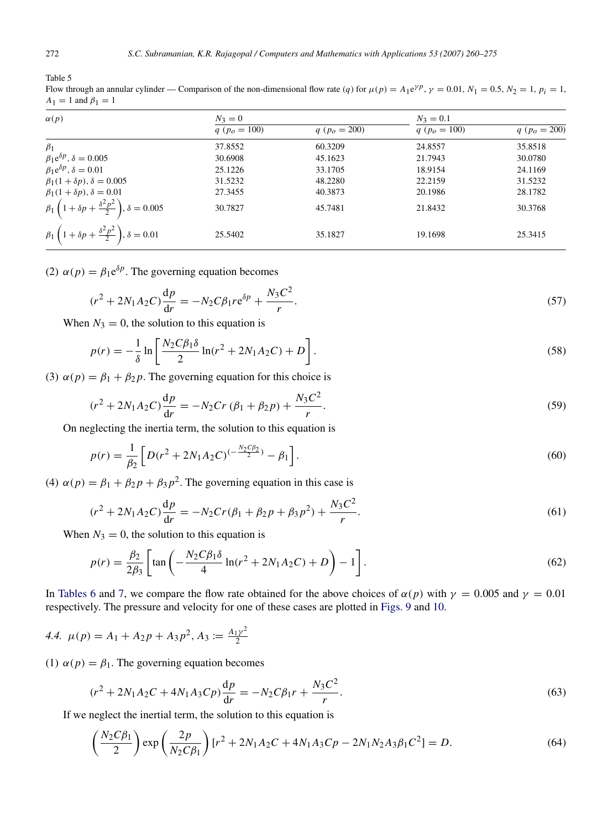$\beta_1$ e<sup> $\delta p$ </sup>

 $\beta_1(1 + \delta p), \delta = 0.01$ 

| $A_1 = 1$ and $\beta_1 = 1$               |                |                |                |                |
|-------------------------------------------|----------------|----------------|----------------|----------------|
| $\alpha(p)$                               | $N_3 = 0$      |                | $N_3 = 0.1$    |                |
|                                           | $q(p_0 = 100)$ | $q(p_0 = 200)$ | $q(p_0 = 100)$ | $q(p_0 = 200)$ |
| $\beta_1$                                 | 37.8552        | 60.3209        | 24.8557        | 35.8518        |
| $\beta_1 e^{\delta p}$ , $\delta = 0.005$ | 30.6908        | 45.1623        | 21.7943        | 30.0780        |

 $\lambda = 0.01$  25.1226 25.1226 33.1705 18.9154 24.1169  $\beta_1(1 + \delta p), \delta = 0.005$  31.5232 48.2280 22.2159 31.5232<br>  $\beta_1(1 + \delta p), \delta = 0.01$  27.3455 40.3873 20.1986 28.1782

Flow through an annular cylinder — Comparison of the non-dimensional flow rate (*q*) for  $\mu(p) = A_1 e^{\gamma p}$ ,  $\gamma = 0.01$ ,  $N_1 = 0.5$ ,  $N_2 = 1$ ,  $p_i = 1$ ,

 $\beta_1\left(1+\delta p+\frac{\delta^2 p^2}{2}\right)$ 2  $\bigg), \delta = 0.005$  30.7827 45.7481 21.8432 30.3768  $\beta_1\left(1+\delta p+\frac{\delta^2 p^2}{2}\right)$ 2  $\setminus$  $, \delta = 0.01$  25.5402 25.5402 35.1827 19.1698 25.3415

(2)  $\alpha(p) = \beta_1 e^{\delta p}$ . The governing equation becomes

$$
(r^2 + 2N_1A_2C)\frac{\mathrm{d}p}{\mathrm{d}r} = -N_2C\beta_1r\mathrm{e}^{\delta p} + \frac{N_3C^2}{r}.\tag{57}
$$

When  $N_3 = 0$ , the solution to this equation is

$$
p(r) = -\frac{1}{\delta} \ln \left[ \frac{N_2 C \beta_1 \delta}{2} \ln(r^2 + 2N_1 A_2 C) + D \right].
$$
 (58)

(3)  $\alpha(p) = \beta_1 + \beta_2 p$ . The governing equation for this choice is

$$
(r^{2} + 2N_{1}A_{2}C)\frac{\mathrm{d}p}{\mathrm{d}r} = -N_{2}Cr\left(\beta_{1} + \beta_{2}p\right) + \frac{N_{3}C^{2}}{r}.\tag{59}
$$

On neglecting the inertia term, the solution to this equation is

$$
p(r) = \frac{1}{\beta_2} \left[ D(r^2 + 2N_1 A_2 C)^{(-\frac{N_2 C \beta_2}{2})} - \beta_1 \right].
$$
\n(60)

(4)  $\alpha(p) = \beta_1 + \beta_2 p + \beta_3 p^2$ . The governing equation in this case is

$$
(r^{2} + 2N_{1}A_{2}C)\frac{dp}{dr} = -N_{2}Cr(\beta_{1} + \beta_{2}p + \beta_{3}p^{2}) + \frac{N_{3}C^{2}}{r}.
$$
\n(61)

When  $N_3 = 0$ , the solution to this equation is

$$
p(r) = \frac{\beta_2}{2\beta_3} \left[ \tan \left( -\frac{N_2 C \beta_1 \delta}{4} \ln(r^2 + 2N_1 A_2 C) + D \right) - 1 \right].
$$
 (62)

In Tables 6 and 7, we compare the flow rate obtained for the above choices of  $\alpha(p)$  with  $\gamma = 0.005$  and  $\gamma = 0.01$ respectively. The pressure and velocity for one of these cases are plotted in Figs. 9 and 10.

4.4. 
$$
\mu(p) = A_1 + A_2p + A_3p^2
$$
,  $A_3 := \frac{A_1y^2}{2}$ 

(1)  $\alpha(p) = \beta_1$ . The governing equation becomes

$$
(r^{2} + 2N_{1}A_{2}C + 4N_{1}A_{3}C_{p})\frac{dp}{dr} = -N_{2}C\beta_{1}r + \frac{N_{3}C^{2}}{r}.
$$
\n(63)

If we neglect the inertial term, the solution to this equation is

$$
\left(\frac{N_2C\beta_1}{2}\right)\exp\left(\frac{2p}{N_2C\beta_1}\right)[r^2 + 2N_1A_2C + 4N_1A_3Cp - 2N_1N_2A_3\beta_1C^2] = D. \tag{64}
$$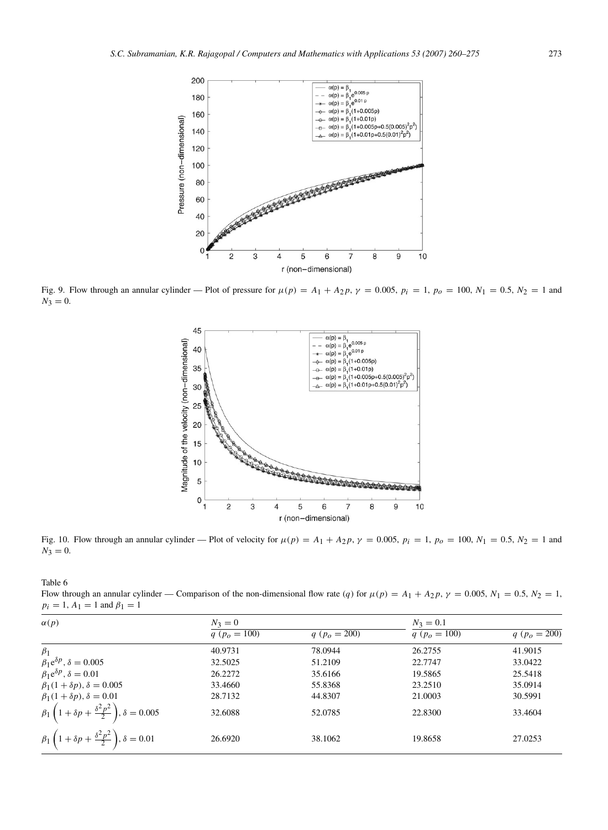

Fig. 9. Flow through an annular cylinder — Plot of pressure for  $\mu(p) = A_1 + A_2p$ ,  $\gamma = 0.005$ ,  $p_i = 1$ ,  $p_o = 100$ ,  $N_1 = 0.5$ ,  $N_2 = 1$  and  $N_3 = 0$ .



Fig. 10. Flow through an annular cylinder — Plot of velocity for  $\mu(p) = A_1 + A_2p$ ,  $\gamma = 0.005$ ,  $p_i = 1$ ,  $p_o = 100$ ,  $N_1 = 0.5$ ,  $N_2 = 1$  and  $N_3 = 0.$ 

| Table 6                                                                                                                                                      |
|--------------------------------------------------------------------------------------------------------------------------------------------------------------|
| Flow through an annular cylinder — Comparison of the non-dimensional flow rate (q) for $\mu(p) = A_1 + A_2 p$ , $\gamma = 0.005$ , $N_1 = 0.5$ , $N_2 = 1$ , |
| $p_i = 1, A_1 = 1$ and $\beta_1 = 1$                                                                                                                         |

| $\alpha(p)$                                                             | $N_3 = 0$      |                |                | $N_3 = 0.1$    |  |
|-------------------------------------------------------------------------|----------------|----------------|----------------|----------------|--|
|                                                                         | $q(p_0 = 100)$ | $q(p_0 = 200)$ | $q(p_0 = 100)$ | $q(p_0 = 200)$ |  |
| $\beta_1$                                                               | 40.9731        | 78.0944        | 26.2755        | 41.9015        |  |
| $\beta_1 e^{\delta p}$ , $\delta = 0.005$                               | 32.5025        | 51.2109        | 22.7747        | 33.0422        |  |
| $\beta_1 e^{\delta p}$ , $\delta = 0.01$                                | 26.2272        | 35.6166        | 19.5865        | 25.5418        |  |
| $\beta_1(1+\delta p), \delta = 0.005$                                   | 33.4660        | 55.8368        | 23.2510        | 35.0914        |  |
| $\beta_1(1+\delta p), \delta = 0.01$                                    | 28.7132        | 44.8307        | 21.0003        | 30.5991        |  |
| $\beta_1\left(1+\delta p+\frac{\delta^2 p^2}{2}\right), \delta = 0.005$ | 32.6088        | 52.0785        | 22.8300        | 33.4604        |  |
| $\beta_1\left(1+\delta p+\frac{\delta^2 p^2}{2}\right), \delta = 0.01$  | 26.6920        | 38.1062        | 19.8658        | 27.0253        |  |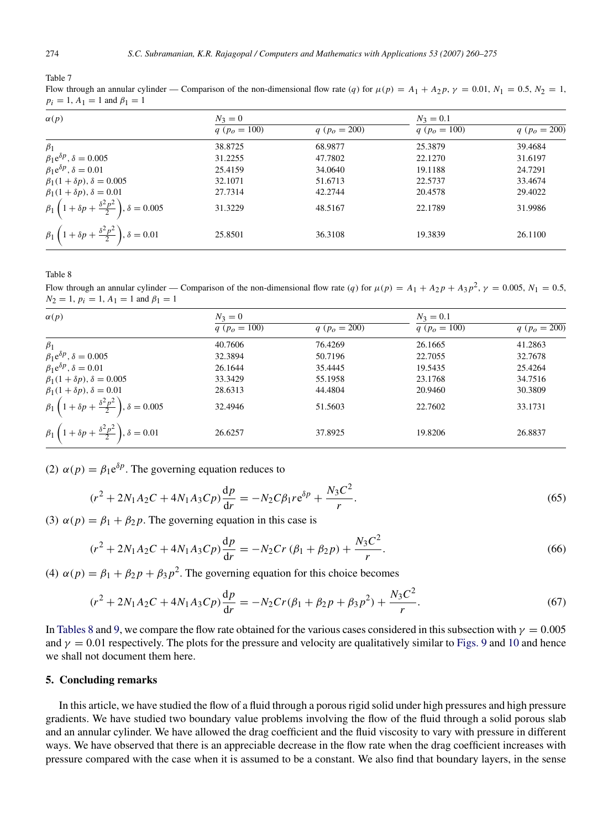Flow through an annular cylinder — Comparison of the non-dimensional flow rate (*q*) for  $\mu(p) = A_1 + A_2 p$ ,  $\gamma = 0.01$ ,  $N_1 = 0.5$ ,  $N_2 = 1$ ,  $p_i = 1, A_1 = 1$  and  $\beta_1 = 1$ 

| $\alpha(p)$                                                             | $N_3 = 0$      |                | $N_3 = 0.1$    |                |
|-------------------------------------------------------------------------|----------------|----------------|----------------|----------------|
|                                                                         | $q(p_0 = 100)$ | $q(p_0 = 200)$ | $q(p_0 = 100)$ | $q(p_0 = 200)$ |
| $\beta_1$                                                               | 38.8725        | 68.9877        | 25.3879        | 39.4684        |
| $\beta_1 e^{\delta p}$ , $\delta = 0.005$                               | 31.2255        | 47.7802        | 22.1270        | 31.6197        |
| $\beta_1 e^{\delta p}$ , $\delta = 0.01$                                | 25.4159        | 34.0640        | 19.1188        | 24.7291        |
| $\beta_1(1+\delta p), \delta = 0.005$                                   | 32.1071        | 51.6713        | 22.5737        | 33.4674        |
| $\beta_1(1+\delta p), \delta = 0.01$                                    | 27.7314        | 42.2744        | 20.4578        | 29.4022        |
| $\beta_1\left(1+\delta p+\frac{\delta^2 p^2}{2}\right), \delta = 0.005$ | 31.3229        | 48.5167        | 22.1789        | 31.9986        |
| $\beta_1\left(1+\delta p+\frac{\delta^2 p^2}{2}\right), \delta = 0.01$  | 25.8501        | 36.3108        | 19.3839        | 26.1100        |

Table 8

Flow through an annular cylinder — Comparison of the non-dimensional flow rate (*q*) for  $\mu(p) = A_1 + A_2p + A_3p^2$ ,  $\gamma = 0.005$ ,  $N_1 = 0.5$ ,  $N_2 = 1$ ,  $p_i = 1$ ,  $A_1 = 1$  and  $\beta_1 = 1$ 

| $\alpha(p)$                                                             | $N_3 = 0$      |                |                | $N_3 = 0.1$    |  |
|-------------------------------------------------------------------------|----------------|----------------|----------------|----------------|--|
|                                                                         | $q(p_0 = 100)$ | $q(p_0 = 200)$ | $q(p_0 = 100)$ | $q(p_0 = 200)$ |  |
| $\beta_1$                                                               | 40.7606        | 76.4269        | 26.1665        | 41.2863        |  |
| $\beta_1 e^{\delta p}$ , $\delta = 0.005$                               | 32.3894        | 50.7196        | 22.7055        | 32.7678        |  |
| $\beta_1 e^{\delta p}$ , $\delta = 0.01$                                | 26.1644        | 35.4445        | 19.5435        | 25.4264        |  |
| $\beta_1(1+\delta p), \delta = 0.005$                                   | 33.3429        | 55.1958        | 23.1768        | 34.7516        |  |
| $\beta_1(1+\delta p), \delta = 0.01$                                    | 28.6313        | 44.4804        | 20.9460        | 30.3809        |  |
| $\beta_1\left(1+\delta p+\frac{\delta^2 p^2}{2}\right), \delta = 0.005$ | 32.4946        | 51.5603        | 22.7602        | 33.1731        |  |
| $\beta_1\left(1+\delta p+\frac{\delta^2 p^2}{2}\right), \delta = 0.01$  | 26.6257        | 37.8925        | 19.8206        | 26.8837        |  |

(2)  $\alpha(p) = \beta_1 e^{\delta p}$ . The governing equation reduces to

$$
(r^{2} + 2N_{1}A_{2}C + 4N_{1}A_{3}C_{p})\frac{dp}{dr} = -N_{2}C\beta_{1}re^{\delta p} + \frac{N_{3}C^{2}}{r}.
$$
\n(65)

(3)  $\alpha(p) = \beta_1 + \beta_2 p$ . The governing equation in this case is

$$
(r^{2} + 2N_{1}A_{2}C + 4N_{1}A_{3}C_{p})\frac{dp}{dr} = -N_{2}Cr(\beta_{1} + \beta_{2}p) + \frac{N_{3}C^{2}}{r}.
$$
\n(66)

(4)  $\alpha(p) = \beta_1 + \beta_2 p + \beta_3 p^2$ . The governing equation for this choice becomes

$$
(r^{2} + 2N_{1}A_{2}C + 4N_{1}A_{3}C_{p})\frac{dp}{dr} = -N_{2}Cr(\beta_{1} + \beta_{2}p + \beta_{3}p^{2}) + \frac{N_{3}C^{2}}{r}.
$$
\n(67)

In Tables 8 and 9, we compare the flow rate obtained for the various cases considered in this subsection with  $\gamma = 0.005$ and  $\gamma = 0.01$  respectively. The plots for the pressure and velocity are qualitatively similar to Figs. 9 and 10 and hence we shall not document them here.

#### 5. Concluding remarks

In this article, we have studied the flow of a fluid through a porous rigid solid under high pressures and high pressure gradients. We have studied two boundary value problems involving the flow of the fluid through a solid porous slab and an annular cylinder. We have allowed the drag coefficient and the fluid viscosity to vary with pressure in different ways. We have observed that there is an appreciable decrease in the flow rate when the drag coefficient increases with pressure compared with the case when it is assumed to be a constant. We also find that boundary layers, in the sense